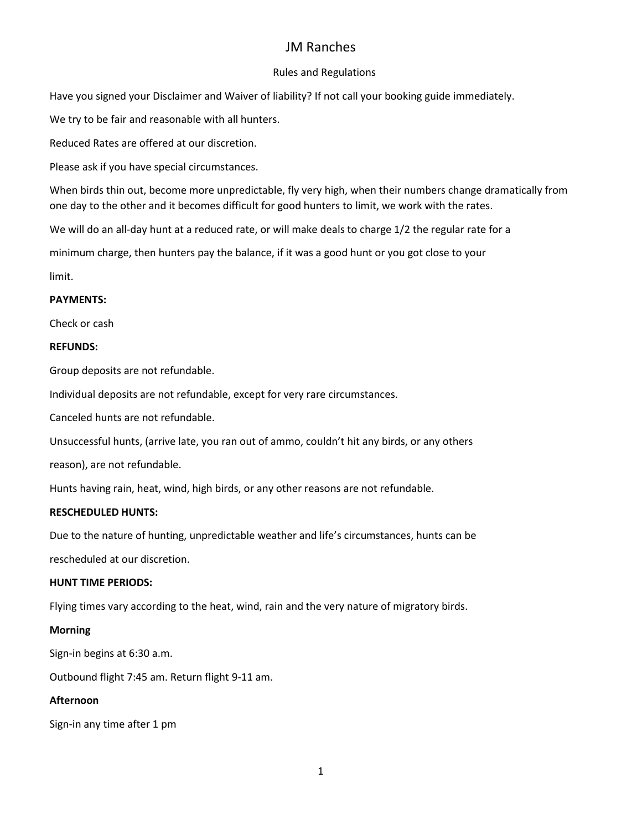# JM Ranches

## Rules and Regulations

Have you signed your Disclaimer and Waiver of liability? If not call your booking guide immediately.

We try to be fair and reasonable with all hunters.

Reduced Rates are offered at our discretion.

Please ask if you have special circumstances.

When birds thin out, become more unpredictable, fly very high, when their numbers change dramatically from one day to the other and it becomes difficult for good hunters to limit, we work with the rates.

We will do an all-day hunt at a reduced rate, or will make deals to charge 1/2 the regular rate for a

minimum charge, then hunters pay the balance, if it was a good hunt or you got close to your

limit.

## **PAYMENTS:**

Check or cash

### **REFUNDS:**

Group deposits are not refundable.

Individual deposits are not refundable, except for very rare circumstances.

Canceled hunts are not refundable.

Unsuccessful hunts, (arrive late, you ran out of ammo, couldn't hit any birds, or any others

reason), are not refundable.

Hunts having rain, heat, wind, high birds, or any other reasons are not refundable.

### **RESCHEDULED HUNTS:**

Due to the nature of hunting, unpredictable weather and life's circumstances, hunts can be

rescheduled at our discretion.

## **HUNT TIME PERIODS:**

Flying times vary according to the heat, wind, rain and the very nature of migratory birds.

### **Morning**

Sign-in begins at 6:30 a.m.

Outbound flight 7:45 am. Return flight 9-11 am.

## **Afternoon**

Sign-in any time after 1 pm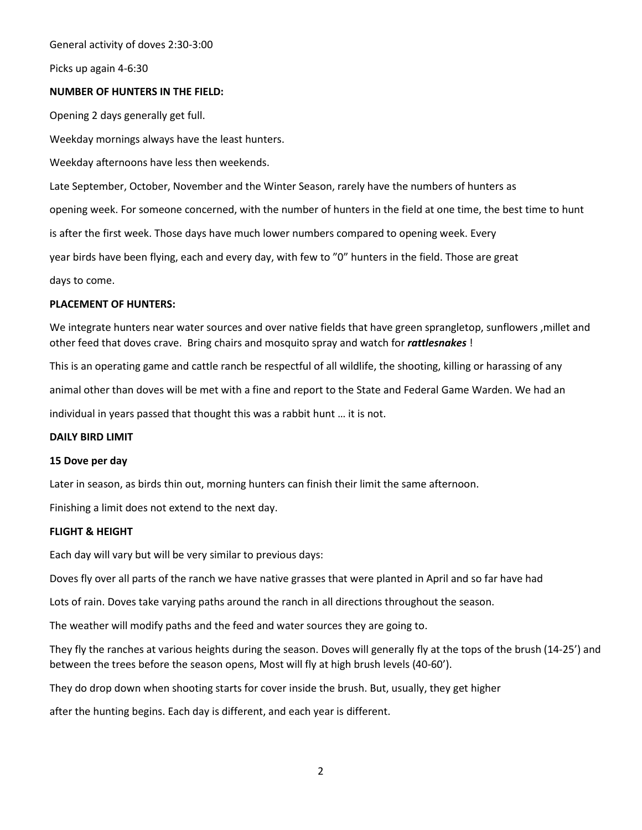General activity of doves 2:30-3:00

Picks up again 4-6:30

#### **NUMBER OF HUNTERS IN THE FIELD:**

Opening 2 days generally get full. Weekday mornings always have the least hunters.

Weekday afternoons have less then weekends.

Late September, October, November and the Winter Season, rarely have the numbers of hunters as

opening week. For someone concerned, with the number of hunters in the field at one time, the best time to hunt

is after the first week. Those days have much lower numbers compared to opening week. Every

year birds have been flying, each and every day, with few to "0" hunters in the field. Those are great

days to come.

#### **PLACEMENT OF HUNTERS:**

We integrate hunters near water sources and over native fields that have green sprangletop, sunflowers ,millet and other feed that doves crave. Bring chairs and mosquito spray and watch for *rattlesnakes* !

This is an operating game and cattle ranch be respectful of all wildlife, the shooting, killing or harassing of any

animal other than doves will be met with a fine and report to the State and Federal Game Warden. We had an

individual in years passed that thought this was a rabbit hunt … it is not.

#### **DAILY BIRD LIMIT**

#### **15 Dove per day**

Later in season, as birds thin out, morning hunters can finish their limit the same afternoon.

Finishing a limit does not extend to the next day.

#### **FLIGHT & HEIGHT**

Each day will vary but will be very similar to previous days:

Doves fly over all parts of the ranch we have native grasses that were planted in April and so far have had

Lots of rain. Doves take varying paths around the ranch in all directions throughout the season.

The weather will modify paths and the feed and water sources they are going to.

They fly the ranches at various heights during the season. Doves will generally fly at the tops of the brush (14-25') and between the trees before the season opens, Most will fly at high brush levels (40-60').

They do drop down when shooting starts for cover inside the brush. But, usually, they get higher

after the hunting begins. Each day is different, and each year is different.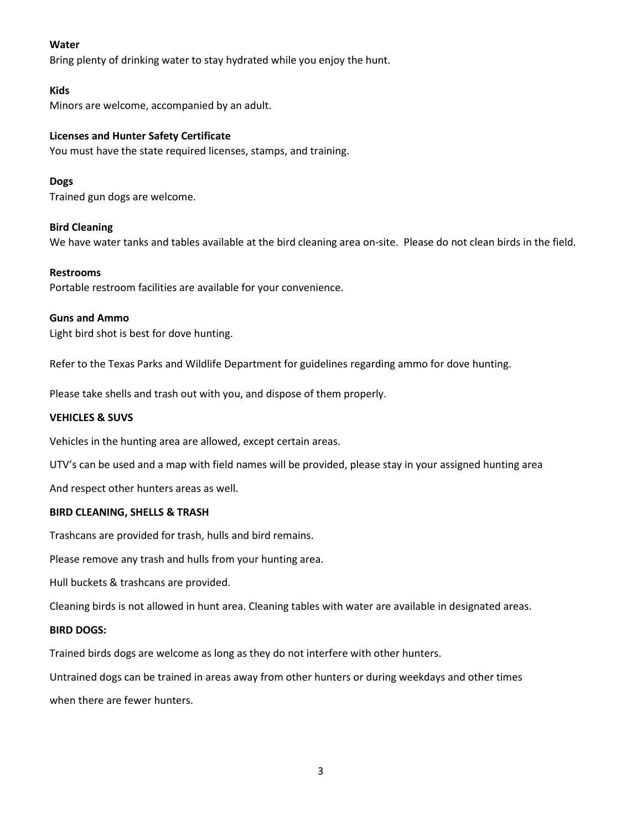### **Water**

Bring plenty of drinking water to stay hydrated while you enjoy the hunt.

#### **Kids**

Minors are welcome, accompanied by an adult.

### **Licenses and Hunter Safety Certificate**

You must have the state required licenses, stamps, and training.

### **Dogs**

Trained gun dogs are welcome.

### **Bird Cleaning**

We have water tanks and tables available at the bird cleaning area on-site. Please do not clean birds in the field.

#### **Restrooms**

Portable restroom facilities are available for your convenience.

#### **Guns and Ammo**

Light bird shot is best for dove hunting.

Refer to the Texas Parks and Wildlife Department for guidelines regarding ammo for dove hunting.

Please take shells and trash out with you, and dispose of them properly.

#### **VEHICLES & SUVS**

Vehicles in the hunting area are allowed, except certain areas.

UTV's can be used and a map with field names will be provided, please stay in your assigned hunting area

And respect other hunters areas as well.

#### **BIRD CLEANING, SHELLS & TRASH**

Trashcans are provided for trash, hulls and bird remains.

Please remove any trash and hulls from your hunting area.

Hull buckets & trashcans are provided.

Cleaning birds is not allowed in hunt area. Cleaning tables with water are available in designated areas.

### **BIRD DOGS:**

Trained birds dogs are welcome as long as they do not interfere with other hunters.

Untrained dogs can be trained in areas away from other hunters or during weekdays and other times when there are fewer hunters.